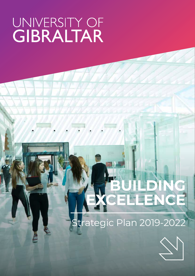# UNIVERSITY OF<br>GIBRALTAR

### Strategic Plan 2019-2022

**EXCELLENCE**

**BUILDING**

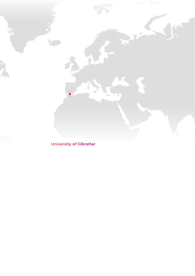

#### **University of Gibraltar**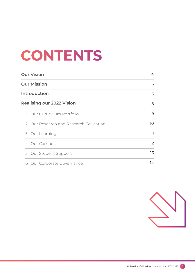## **CONTENTS**

| <b>Our Vision</b><br><b>Our Mission</b> | 4<br>5            |
|-----------------------------------------|-------------------|
|                                         |                   |
| <b>Realising our 2022 Vision</b>        | 8                 |
| 1. Our Curriculum Portfolio             | 9                 |
| 2. Our Research and Research Education  | 10                |
| 3. Our Learning                         | 11                |
| 4. Our Campus                           | $12 \overline{ }$ |
| 5. Our Student Support                  | 13                |
| 6. Our Corporate Governance             | 14                |

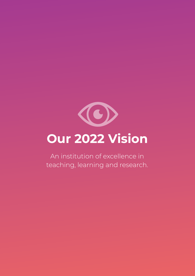

### **Our 2022 Vision**

An institution of excellence in teaching, learning and research.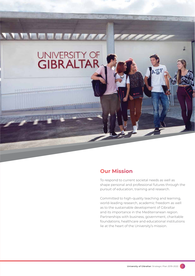## UNIVERSITY OF<br>GIBRALTAR

N SI SI SI AVAVIA

#### **Our Mission**

To respond to current societal needs as well as shape personal and professional futures through the pursuit of education, training and research.

Committed to high-quality teaching and learning, world-leading research, academic freedom as well as to the sustainable development of Gibraltar and its importance in the Mediterranean region. Partnerships with business, government, charitable foundations, healthcare and educational institutions lie at the heart of the University's mission.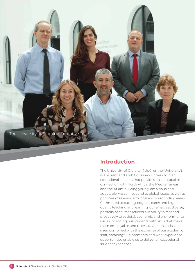

#### **Introduction**

The University of Gibraltar ('UoG' or the 'University') is a vibrant and ambitious new University in an exceptional location that provides an inescapable connection with North Africa, the Mediterranean and the Atlantic. Being young, ambitious and adaptable, we can respond to global issues as well as priorities of relevance to local and surrounding areas. Committed to cutting-edge research and highquality teaching and learning, our small, yet diverse, portfolio of courses reflects our ability to respond proactively to societal, economic and environmental issues, providing our students with skills that make them employable and relevant. Our small class sizes, combined with the expertise of our academic staff, meaningful placements and work experience opportunities enable us to deliver an exceptional student experience.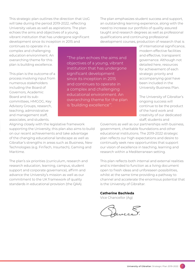This strategic plan outlines the direction that UoG will take during the period 2019-2022, reflecting University values as well as aspirations. The plan echoes the aims and objectives of a young, vibrant institution that has undergone significant development since its inception in 2015 and

continues to operate in a complex and challenging education environment. An overarching theme for this plan is building excellence.

This plan is the outcome of a process involving input from numerous stakeholders including the Board of Governors, Academic Board and its subcommittees, HMGOG, Key Advisory Groups, research, teaching, administrative and management staff, associates, and students.

"The plan echoes the aims and objectives of a young, vibrant institution that has undergone significant development since its inception in 2015 and continues to operate in a complex and challenging educational environment. An overarching theme for the plan is 'building excellence'".

The plan emphasizes student success and support, an outstanding learning experience, along with the need to increase our portfolio of quality assured taught and research degrees as well as professional qualifications and continuing professional development courses, production of research that is

of international significance, modern effective facilities and effective, transparent governance. Although not detailed here, resources for achievement of each strategic priority and accompanying goal have been included in the University Business Plan.

The University of Gibraltar's ongoing success will continue to be the product of the hard work and creativity of our dedicated staff, students and

Aligning closely with the legislative framework supporting the University, this plan also aims to build on our recent achievements and take advantage of the changing educational landscape as well as Gibraltar's strengths in areas such as Business, New Technologies (e.g. FinTech, Insurtech), Gaming and Maritime.

The plan's six priorities (curriculum, research and research education, learning, campus, student support and corporate governance), affirm and advance the University's mission as well as our commitment to the UK framework of quality standards in educational provision (the QAA).

Governors as well as our partnerships with business, government, charitable foundations and other educational institutions. The 2019-2022 strategic plan reflects our high expectations and desire to continually seek new opportunities that support our vision of excellence in teaching, learning and research within a Mediterranean setting.

This plan reflects both internal and external realities and is intended to function as a living document open to fresh ideas and unforeseen possibilities, whilst at the same time providing a pathway to channel and accelerate the enormous potential that is the University of Gibraltar.

#### **Catherine Bachleda**

Vice Chancellor (Ag)

Dance S.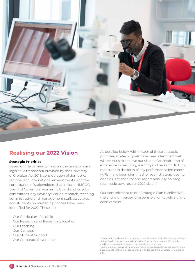

#### **Realising our 2022 Vision**

#### **Strategic Priorities**

Based on the University mission, the underpinning legislative framework provided by the University of Gibraltar Act 2015, consideration of domestic, regional and international environments, and the contribution of stakeholders that include HMGOG, Board of Governors, Academic Board and its subcommittees, Key Advisory Groups, research, teaching, administrative and management staff, associates, and students, six strategic priorities have been identified for 2022. These are:

As detailed below, within each of these strategic priorities, strategic goals have been identified that will assist us to achieve our vision of an institution of excellence in teaching, learning and research. In turn, measures in the form of key performance indicators (KPIs) have been identified for each strategic goal to enable us to monitor and report annually on progress made towards our 2022 vision.1

Our commitment to our Strategic Plan is collective; the entire University is responsible for its delivery and achievement.2

- **•** Our Curriculum Portfolio
- **•** Our Research and Research Education
- **•** Our Learning
- **•** Our Campus
- **•** Our Student Support
- Our Corporate Governance

<sup>&</sup>lt;sup>1</sup> In monitoring and reporting on progress annually, we anticipate that strategic priorities and goals will remain unchanged during the life of the Plan, however KPIs may be modified in response to changes in our operating environment.

<sup>&</sup>lt;sup>2</sup> As the University grows, complementary strategies and plans for various departments/ business units will be developed to underpin and support this University-level strategic plan.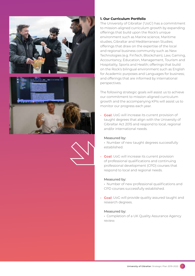





#### **1. Our Curriculum Portfolio**

The University of Gibraltar ('UoG') has a commitment to mission-aligned curriculum growth by expanding offerings that build upon the Rock's unique environment such as Marine science, Maritime studies, Gibraltar and Mediterranean Studies; offerings that draw on the expertise of the local and regional business community such as New Technologies (e.g. FinTech, Blockchain), Law, Gaming, Accountancy, Education, Management, Tourism and Hospitality, Sports and Health; offerings that build on the Rock's bilingual environment such as English for Academic purposes and Languages for business; and offerings that are informed by international perspectives.

The following strategic goals will assist us to achieve our commitment to mission-aligned curriculum growth and the accompanying KPIs will assist us to monitor our progress each year.

**• Goal:** UoG will increase its current provision of taught degrees that align with the University of Gibraltar Act 2015 and respond to local, regional and/or international needs.

#### Measured by:

• Number of new taught degrees successfully established.

**• Goal:** UoG will increase its current provision of professional qualifications and continuing professional development (CPD) courses that respond to local and regional needs.

#### Measured by:

• Number of new professional qualifications and CPD courses successfully established.

**• Goal:** UoG will provide quality assured taught and research degrees.

#### Measured by:

• Completion of a UK Quality Assurance Agency review.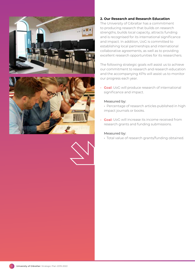





#### **2. Our Research and Research Education**

The University of Gibraltar has a commitment to producing research that builds on research strengths, builds local capacity, attracts funding and is recognised for its international significance and impact. In addition, UoG is committed to establishing local partnerships and international collaborative agreements, as well as to providing excellent research opportunities for its researchers.

The following strategic goals will assist us to achieve our commitment to research and research education and the accompanying KPIs will assist us to monitor our progress each year.

**• Goal:** UoG will produce research of international significance and impact.

#### Measured by:

- Percentage of research articles published in high impact journals or books.
- **• Goal:** UoG will increase its income received from research grants and funding submissions.

#### Measured by:

• Total value of research grants/funding obtained.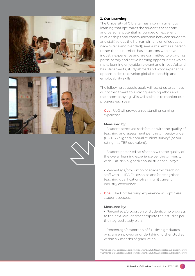





#### **3. Our Learning**

The University of Gibraltar has a commitment to learning that optimizes the student's academic and personal potential; is founded on excellent relationships and communication between students and staff; values the human dimension of education (face to face and blended); sees a student as a person rather than a number; has educators who have industry experience and are committed to providing participatory and active learning opportunities which make learning enjoyable, relevant and impactful; and has placements, study abroad and work experience opportunities to develop global citizenship and employability skills.

The following strategic goals will assist us to achieve our commitment to a strong learning ethos and the accompanying KPIs will assist us to monitor our progress each year.

**• Goal:** UoG will provide an outstanding learning experience.

#### Measured by:

• Student perceived satisfaction with the quality of teaching and assessment per the University wide (UK-NSS aligned) annual student survey3 (or our rating in a TEF equivalent).

- Student perceived satisfaction with the quality of the overall learning experience per the University wide (UK-NSS aligned) annual student survey.<sup>4</sup>
- Percentage/proportion of academic teaching staff with i) HEA Fellowships and/or recognised teaching qualifications/training; ii) current industry experience.
- **• Goal:** The UoG learning experience will optimise student success.

#### Measured by:

- Percentage/proportion of students who progress to the next level and/or complete their studies per their agreed study plan.
- Percentage/proportion of full-time graduates who are employed or undertaking further studies within six months of graduation.

<sup>3</sup> Combined average response to relevant questions on (UK-NSS aligned) annual student survey. 4 Combined average response to relevant questions on (UK-NSS aligned) annual student survey.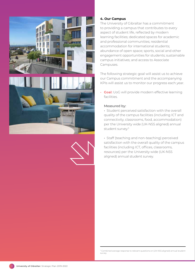



#### **4. Our Campus**

The University of Gibraltar has a commitment to providing a campus that contributes to every aspect of student life, reflected by modern learning facilities; dedicated spaces for academic and professional communities; residential accommodation for international students; abundance of open space; sports, social and other engagement opportunities for students; sustainable campus initiatives; and access to Associate Campuses.

The following strategic goal will assist us to achieve our Campus commitment and the accompanying KPIs will assist us to monitor our progress each year.

**• Goal:** UoG will provide modern effective learning facilities.

#### Measured by:

• Student perceived satisfaction with the overall quality of the campus facilities (including ICT and connectivity, classrooms, food, accommodation) per the University wide (UK-NSS aligned) annual student survey.<sup>5</sup>

• Staff (teaching and non-teaching) perceived satisfaction with the overall quality of the campus facilities (including ICT, offices, classrooms, resources) per the University wide (UK-NSS aligned) annual student survey.

<sup>5</sup> Combined average response to relevant questions on (UK-NSS aligned) annual student survey.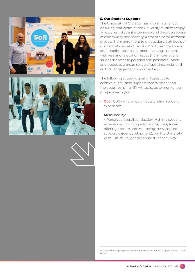





#### **5. Our Student Support**

The University of Gibraltar has a commitment to ensuring that whilst at the University students enjoy: an excellent student experience and develop a sense of community and identity; a smooth administration process, from enrolment to graduation; high levels of connectivity, access to a robust VLE, remote access and mobile apps that support learning; support with visa and relocation issues (if an international student); access to personal and pastoral support; and access to a broad range of sporting, social and cultural engagement opportunities.

The following strategic goal will assist us to achieve our student support commitment and the accompanying KPI will assist us to monitor our progress each year.

**• Goal:** UoG will provide an outstanding student experience.

#### Measured by:

• Perceived overall satisfaction with the student experience (including admissions; visas; social offerings; health and well-being; personalized support, career development), per the University wide (UK-NSS aligned) annual student survey.6

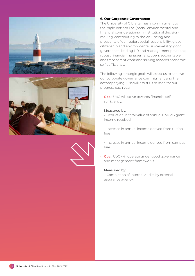





#### **6. Our Corporate Governance**

The University of Gibraltar has a commitment to the triple bottom line (social, environmental and financial considerations) in institutional decisionmaking; contributing to the well-being and prosperity of our region; social responsibility, global citizenship and environmental sustainability; good governance; leading HR and management practices; robust financial management; open, accountable and transparent work; and striving towards economic self-sufficiency.

The following strategic goals will assist us to achieve our corporate governance commitment and the accompanying KPIs will assist us to monitor our progress each year.

**• Goal:** UoG will strive towards financial selfsufficiency.

#### Measured by:

• Reduction in total value of annual HMGoG grant income received.

- Increase in annual income derived from tuition fees.
- Increase in annual income derived from campus hire.
- **• Goal:** UoG will operate under good governance and management frameworks.

#### Measured by:

• Completion of Internal Audits by external assurance agency.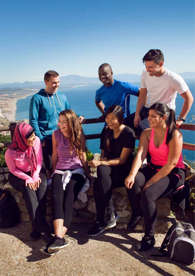